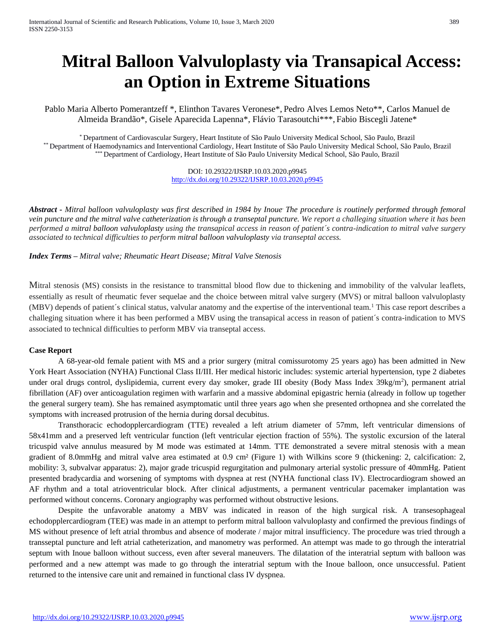# **Mitral Balloon Valvuloplasty via Transapical Access: an Option in Extreme Situations**

Pablo Maria Alberto Pomerantzeff \*, Elinthon Tavares Veronese\*, Pedro Alves Lemos Neto\*\*, Carlos Manuel de Almeida Brandão\*, Gisele Aparecida Lapenna\*, Flávio Tarasoutchi\*\*\*, Fabio Biscegli Jatene\*

\* Department of Cardiovascular Surgery, Heart Institute of São Paulo University Medical School, São Paulo, Brazil \*\* Department of Haemodynamics and Interventional Cardiology, Heart Institute of São Paulo University Medical School, São Paulo, Brazil \*\*\* Department of Cardiology, Heart Institute of São Paulo University Medical School, São Paulo, Brazil

> DOI: 10.29322/IJSRP.10.03.2020.p9945 <http://dx.doi.org/10.29322/IJSRP.10.03.2020.p9945>

*Abstract - Mitral balloon valvuloplasty was first described in 1984 by Inoue. The procedure is routinely performed through femoral vein puncture and the mitral valve catheterization is through a transeptal puncture. We report a challeging situation where it has been performed a mitral balloon valvuloplasty using the transapical access in reason of patient´s contra-indication to mitral valve surgery associated to technical difficulties to perform mitral balloon valvuloplasty via transeptal access.*

*Index Terms – Mitral valve; Rheumatic Heart Disease; Mitral Valve Stenosis* 

Mitral stenosis (MS) consists in the resistance to transmittal blood flow due to thickening and immobility of the valvular leaflets, essentially as result of rheumatic fever sequelae and the choice between mitral valve surgery (MVS) or mitral balloon valvuloplasty (MBV) depends of patient´s clinical status, valvular anatomy and the expertise of the interventional team.<sup>1</sup> This case report describes a challeging situation where it has been performed a MBV using the transapical access in reason of patient´s contra-indication to MVS associated to technical difficulties to perform MBV via transeptal access.

### **Case Report**

A 68-year-old female patient with MS and a prior surgery (mitral comissurotomy 25 years ago) has been admitted in New York Heart Association (NYHA) Functional Class II/III. Her medical historic includes: systemic arterial hypertension, type 2 diabetes under oral drugs control, dyslipidemia, current every day smoker, grade III obesity (Body Mass Index 39kg/m<sup>2</sup>), permanent atrial fibrillation (AF) over anticoagulation regimen with warfarin and a massive abdominal epigastric hernia (already in follow up together the general surgery team). She has remained asymptomatic until three years ago when she presented orthopnea and she correlated the symptoms with increased protrusion of the hernia during dorsal decubitus.

Transthoracic echodopplercardiogram (TTE) revealed a left atrium diameter of 57mm, left ventricular dimensions of 58x41mm and a preserved left ventricular function (left ventricular ejection fraction of 55%). The systolic excursion of the lateral tricuspid valve annulus measured by M mode was estimated at 14mm. TTE demonstrated a severe mitral stenosis with a mean gradient of 8.0mmHg and mitral valve area estimated at 0.9 cm² (Figure 1) with Wilkins score 9 (thickening: 2, calcification: 2, mobility: 3, subvalvar apparatus: 2), major grade tricuspid regurgitation and pulmonary arterial systolic pressure of 40mmHg. Patient presented bradycardia and worsening of symptoms with dyspnea at rest (NYHA functional class IV). Electrocardiogram showed an AF rhythm and a total atrioventricular block. After clinical adjustments, a permanent ventricular pacemaker implantation was performed without concerns. Coronary angiography was performed without obstructive lesions.

Despite the unfavorable anatomy a MBV was indicated in reason of the high surgical risk. A transesophageal echodopplercardiogram (TEE) was made in an attempt to perform mitral balloon valvuloplasty and confirmed the previous findings of MS without presence of left atrial thrombus and absence of moderate / major mitral insufficiency. The procedure was tried through a transseptal puncture and left atrial catheterization, and manometry was performed. An attempt was made to go through the interatrial septum with Inoue balloon without success, even after several maneuvers. The dilatation of the interatrial septum with balloon was performed and a new attempt was made to go through the interatrial septum with the Inoue balloon, once unsuccessful. Patient returned to the intensive care unit and remained in functional class IV dyspnea.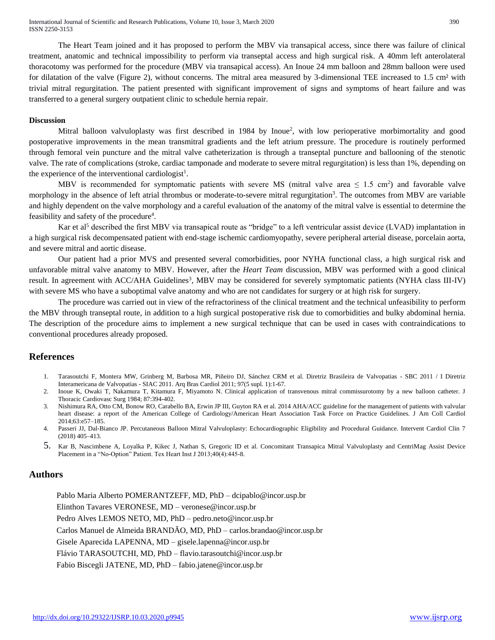International Journal of Scientific and Research Publications, Volume 10, Issue 3, March 2020 390 ISSN 2250-3153

The Heart Team joined and it has proposed to perform the MBV via transapical access, since there was failure of clinical treatment, anatomic and technical impossibility to perform via transeptal access and high surgical risk. A 40mm left anterolateral thoracotomy was performed for the procedure (MBV via transapical access). An Inoue 24 mm balloon and 28mm balloon were used for dilatation of the valve (Figure 2), without concerns. The mitral area measured by 3-dimensional TEE increased to 1.5 cm² with trivial mitral regurgitation. The patient presented with significant improvement of signs and symptoms of heart failure and was transferred to a general surgery outpatient clinic to schedule hernia repair.

#### **Discussion**

Mitral balloon valvuloplasty was first described in 1984 by Inoue<sup>2</sup>, with low perioperative morbimortality and good postoperative improvements in the mean transmitral gradients and the left atrium pressure. The procedure is routinely performed through femoral vein puncture and the mitral valve catheterization is through a transeptal puncture and ballooning of the stenotic valve. The rate of complications (stroke, cardiac tamponade and moderate to severe mitral regurgitation) is less than 1%, depending on the experience of the interventional cardiologist<sup>1</sup>.

MBV is recommended for symptomatic patients with severe MS (mitral valve area  $\leq 1.5$  cm<sup>2</sup>) and favorable valve morphology in the absence of left atrial thrombus or moderate-to-severe mitral regurgitation<sup>3</sup>. The outcomes from MBV are variable and highly dependent on the valve morphology and a careful evaluation of the anatomy of the mitral valve is essential to determine the feasibility and safety of the procedure<sup>4</sup>.

Kar et al<sup>5</sup> described the first MBV via transapical route as "bridge" to a left ventricular assist device (LVAD) implantation in a high surgical risk decompensated patient with end-stage ischemic cardiomyopathy, severe peripheral arterial disease, porcelain aorta, and severe mitral and aortic disease.

Our patient had a prior MVS and presented several comorbidities, poor NYHA functional class, a high surgical risk and unfavorable mitral valve anatomy to MBV. However, after the *Heart Team* discussion, MBV was performed with a good clinical result. In agreement with ACC/AHA Guidelines<sup>3</sup>, MBV may be considered for severely symptomatic patients (NYHA class III-IV) with severe MS who have a suboptimal valve anatomy and who are not candidates for surgery or at high risk for surgery.

The procedure was carried out in view of the refractoriness of the clinical treatment and the technical unfeasibility to perform the MBV through transeptal route, in addition to a high surgical postoperative risk due to comorbidities and bulky abdominal hernia. The description of the procedure aims to implement a new surgical technique that can be used in cases with contraindications to conventional procedures already proposed.

#### **References**

- 1. Tarasoutchi F, Montera MW, Grinberg M, Barbosa MR, Piñeiro DJ, Sánchez CRM et al. Diretriz Brasileira de Valvopatias SBC 2011 / I Diretriz Interamericana de Valvopatias - SIAC 2011. Arq Bras Cardiol 2011; 97(5 supl. 1):1-67.
- 2. Inoue K, Owaki T, Nakamura T, Kitamura F, Miyamoto N. Clinical application of transvenous mitral commissurotomy by a new balloon catheter. J Thoracic Cardiovasc Surg 1984; 87:394-402.
- 3. Nishimura RA, Otto CM, Bonow RO, Carabello BA, Erwin JP III, Guyton RA et al. 2014 AHA/ACC guideline for the management of patients with valvular heart disease: a report of the American College of Cardiology/American Heart Association Task Force on Practice Guidelines. J Am Coll Cardiol 2014;63:e57–185.
- 4. Passeri JJ, Dal-Bianco JP. Percutaneous Balloon Mitral Valvuloplasty: Echocardiographic Eligibility and Procedural Guidance. Intervent Cardiol Clin 7 (2018) 405–413.
- 5. Kar B, Nascimbene A, Loyalka P, Kikec J, Nathan S, Gregoric ID et al. Concomitant Transapica Mitral Valvuloplasty and CentriMag Assist Device Placement in a "No-Option" Patient. Tex Heart Inst J 2013;40(4):445-8.

# **Authors**

Pablo Maria Alberto POMERANTZEFF, MD, PhD – dcipablo@incor.usp.br Elinthon Tavares VERONESE, MD – veronese@incor.usp.br Pedro Alves LEMOS NETO, MD, PhD – pedro.neto@incor.usp.br Carlos Manuel de Almeida BRANDÃO, MD, PhD – carlos.brandao@incor.usp.br Gisele Aparecida LAPENNA, MD – gisele.lapenna@incor.usp.br Flávio TARASOUTCHI, MD, PhD – flavio.tarasoutchi@incor.usp.br Fabio Biscegli JATENE, MD, PhD – fabio.jatene@incor.usp.br